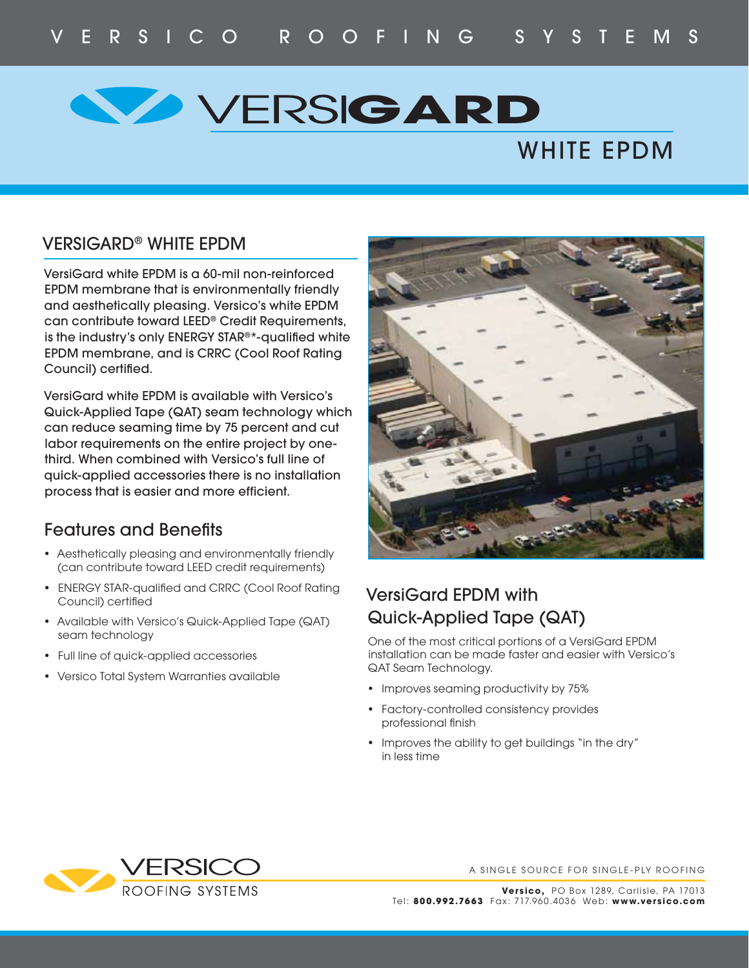# **VERSIGARD**

## WHITE EPDM

#### VERSIGARD® WHITE EPDM

VersiGard white EPDM is a 60-mil non-reinforced EPDM membrane that is environmentally friendly and aesthetically pleasing. Versico's white EPDM can contribute toward LEED® Credit Requirements, is the industry's only ENERGY STAR<sup>®\*</sup>-qualified white EPDM membrane, and is CRRC (Cool Roof Rating Council) certified.

VersiGard white EPDM is available with Versico's Quick-Applied Tape (QAT) seam technology which can reduce seaming time by 75 percent and cut labor requirements on the entire project by onethird. When combined with Versico's full line of quick-applied accessories there is no installation process that is easier and more efficient.

#### **Features and Benefits**

- Aesthetically pleasing and environmentally friendly (can contribute toward LEED credit requirements)
- ENERGY STAR-qualified and CRRC (Cool Roof Rating Council) certified
- Available with Versico's Quick-Applied Tape (QAT) seam technology
- Full line of quick-applied accessories
- Versico Total System Warranties available



#### VersiGard EPDM with Quick-Applied Tape (QAT)

One of the most critical portions of a VersiGard EPDM installation can be made faster and easier with Versico's QAT Seam Technology.

- Improves seaming productivity by 75%
- Factory-controlled consistency provides professional finish
- Improves the ability to get buildings "in the dry" in less time



A SINGLE SOURCE FOR SINGLE-PLY ROOFING